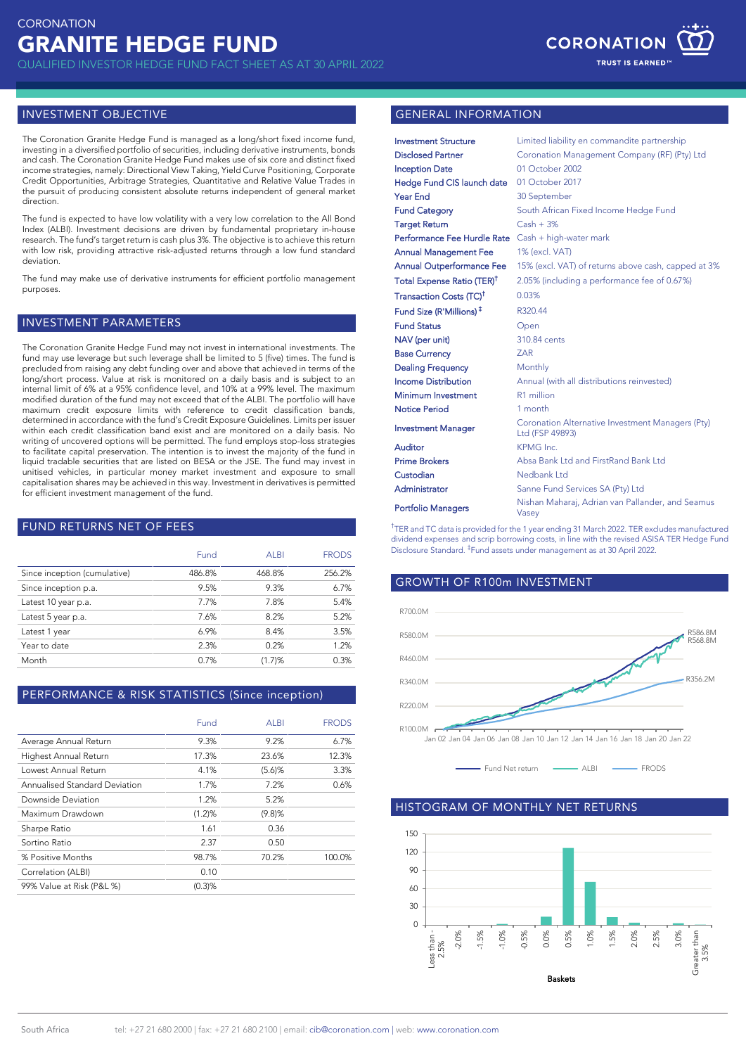QUALIFIED INVESTOR HEDGE FUND FACT SHEET AS AT 30 APRIL 2022



#### INVESTMENT OBJECTIVE

The Coronation Granite Hedge Fund is managed as a long/short fixed income fund, investing in a diversified portfolio of securities, including derivative instruments, bonds and cash. The Coronation Granite Hedge Fund makes use of six core and distinct fixed income strategies, namely: Directional View Taking, Yield Curve Positioning, Corporate Credit Opportunities, Arbitrage Strategies, Quantitative and Relative Value Trades in the pursuit of producing consistent absolute returns independent of general market direction.

The fund is expected to have low volatility with a very low correlation to the All Bond Index (ALBI). Investment decisions are driven by fundamental proprietary in-house research. The fund's target return is cash plus 3%. The objective is to achieve this return with low risk, providing attractive risk-adjusted returns through a low fund standard deviation.

The fund may make use of derivative instruments for efficient portfolio management purposes.

## INVESTMENT PARAMETERS

The Coronation Granite Hedge Fund may not invest in international investments. The fund may use leverage but such leverage shall be limited to 5 (five) times. The fund is precluded from raising any debt funding over and above that achieved in terms of the long/short process. Value at risk is monitored on a daily basis and is subject to an internal limit of 6% at a 95% confidence level, and 10% at a 99% level. The maximum modified duration of the fund may not exceed that of the ALBI. The portfolio will have maximum credit exposure limits with reference to credit classification bands, determined in accordance with the fund's Credit Exposure Guidelines. Limits per issuer within each credit classification band exist and are monitored on a daily basis. No writing of uncovered options will be permitted. The fund employs stop-loss strategies to facilitate capital preservation. The intention is to invest the majority of the fund in liquid tradable securities that are listed on BESA or the JSE. The fund may invest in unitised vehicles, in particular money market investment and exposure to small capitalisation shares may be achieved in this way. Investment in derivatives is permitted for efficient investment management of the fund.

## FUND RETURNS NET OF FEES

|                              | Fund   | <b>ALBI</b> | <b>FRODS</b> |
|------------------------------|--------|-------------|--------------|
| Since inception (cumulative) | 486.8% | 468.8%      | 256.2%       |
| Since inception p.a.         | 9.5%   | 9.3%        | 6.7%         |
| Latest 10 year p.a.          | 7.7%   | 7.8%        | 5.4%         |
| Latest 5 year p.a.           | 7.6%   | 8.2%        | 5.2%         |
| Latest 1 year                | 6.9%   | 8.4%        | 3.5%         |
| Year to date                 | 2.3%   | 0.2%        | 1.2%         |
| Month                        | 0.7%   | (1.7)%      | 0.3%         |
|                              |        |             |              |

# PERFORMANCE & RISK STATISTICS (Since inception)

|                               | Fund   | ALBI      | <b>FRODS</b> |
|-------------------------------|--------|-----------|--------------|
| Average Annual Return         | 9.3%   | 9.2%      | 6.7%         |
| Highest Annual Return         | 17.3%  | 23.6%     | 12.3%        |
| Lowest Annual Return          | 4.1%   | $(5.6)$ % | 3.3%         |
| Annualised Standard Deviation | 1.7%   | 7.2%      | 0.6%         |
| Downside Deviation            | 1.2%   | 5.2%      |              |
| Maximum Drawdown              | (1.2)% | (9.8)%    |              |
| Sharpe Ratio                  | 1.61   | 0.36      |              |
| Sortino Ratio                 | 2.37   | 0.50      |              |
| % Positive Months             | 98.7%  | 70.2%     | 100.0%       |
| Correlation (ALBI)            | 0.10   |           |              |
| 99% Value at Risk (P&L %)     | (0.3)% |           |              |

# GENERAL INFORMATION

| <b>Investment Structure</b>                        | Limited liability en commandite partnership                         |
|----------------------------------------------------|---------------------------------------------------------------------|
| <b>Disclosed Partner</b>                           | Coronation Management Company (RF) (Pty) Ltd                        |
| <b>Inception Date</b>                              | 01 October 2002                                                     |
| Hedge Fund CIS launch date                         | 01 October 2017                                                     |
| <b>Year End</b>                                    | 30 September                                                        |
| <b>Fund Category</b>                               | South African Fixed Income Hedge Fund                               |
| <b>Target Return</b>                               | $Cash + 3%$                                                         |
| Performance Fee Hurdle Rate Cash + high-water mark |                                                                     |
| <b>Annual Management Fee</b>                       | 1% (excl. VAT)                                                      |
| <b>Annual Outperformance Fee</b>                   | 15% (excl. VAT) of returns above cash, capped at 3%                 |
| Total Expense Ratio (TER) <sup>T</sup>             | 2.05% (including a performance fee of 0.67%)                        |
| Transaction Costs (TC) <sup>†</sup>                | 0.03%                                                               |
| Fund Size (R'Millions) <sup>‡</sup>                | R320.44                                                             |
| <b>Fund Status</b>                                 | Open                                                                |
| NAV (per unit)                                     | 310.84 cents                                                        |
| <b>Base Currency</b>                               | <b>ZAR</b>                                                          |
| <b>Dealing Frequency</b>                           | Monthly                                                             |
| <b>Income Distribution</b>                         | Annual (with all distributions reinvested)                          |
| Minimum Investment                                 | R1 million                                                          |
| <b>Notice Period</b>                               | 1 month                                                             |
| <b>Investment Manager</b>                          | Coronation Alternative Investment Managers (Pty)<br>Ltd (FSP 49893) |
| Auditor                                            | KPMG Inc.                                                           |
| <b>Prime Brokers</b>                               | Absa Bank Ltd and FirstRand Bank Ltd                                |
| Custodian                                          | Nedbank Ltd                                                         |
| Administrator                                      | Sanne Fund Services SA (Pty) Ltd                                    |
| <b>Portfolio Managers</b>                          | Nishan Maharaj, Adrian van Pallander, and Seamus<br>Vasev           |

† TER and TC data is provided for the 1 year ending 31 March 2022. TER excludes manufactured dividend expenses and scrip borrowing costs, in line with the revised ASISA TER Hedge Fund Disclosure Standard. ‡ Fund assets under management as at 30 April 2022.



#### HISTOGRAM OF MONTHLY NET RETURNS